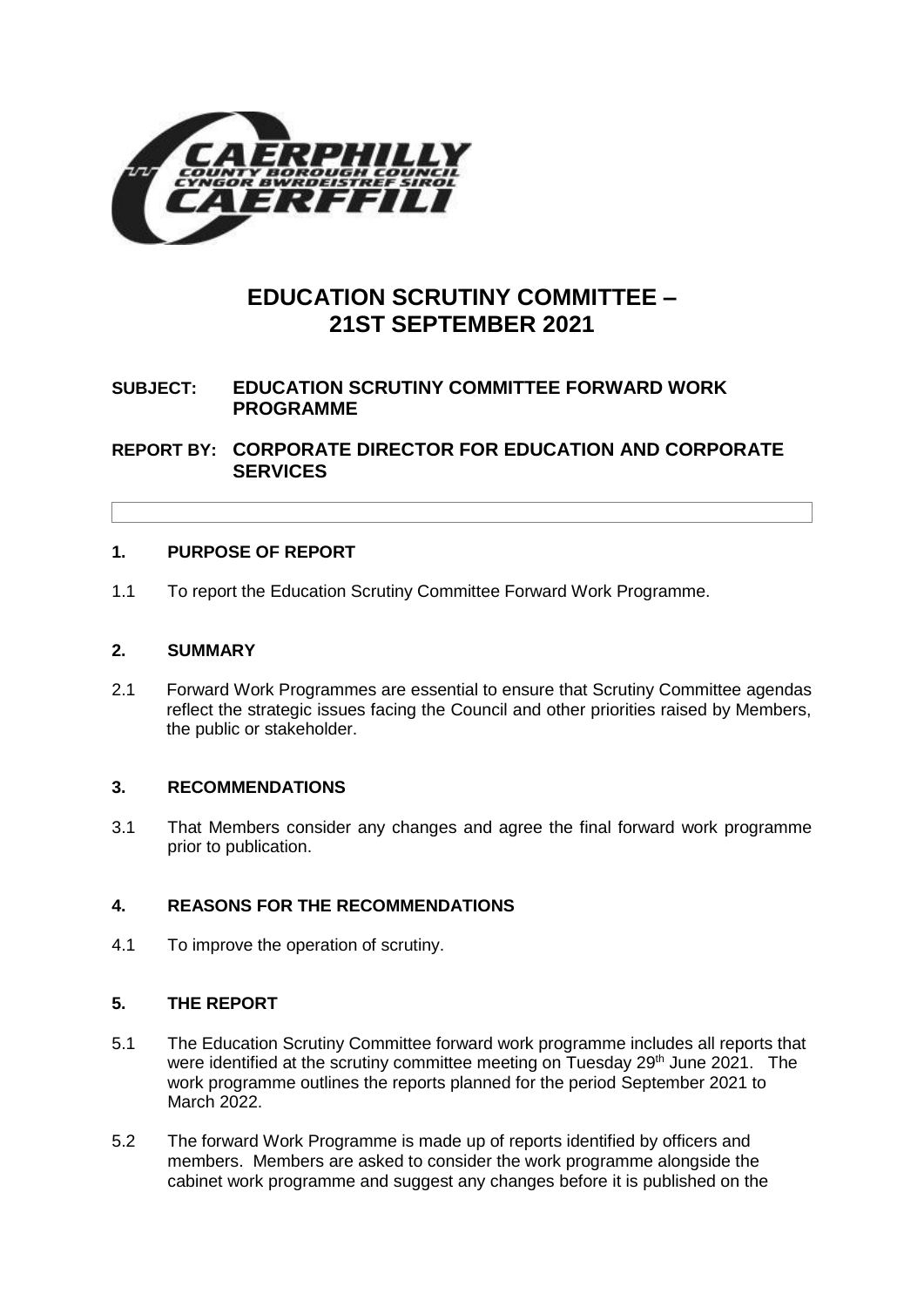

# **EDUCATION SCRUTINY COMMITTEE – 21ST SEPTEMBER 2021**

## **SUBJECT: EDUCATION SCRUTINY COMMITTEE FORWARD WORK PROGRAMME**

**REPORT BY: CORPORATE DIRECTOR FOR EDUCATION AND CORPORATE SERVICES**

## **1. PURPOSE OF REPORT**

1.1 To report the Education Scrutiny Committee Forward Work Programme.

## **2. SUMMARY**

2.1 Forward Work Programmes are essential to ensure that Scrutiny Committee agendas reflect the strategic issues facing the Council and other priorities raised by Members, the public or stakeholder.

## **3. RECOMMENDATIONS**

3.1 That Members consider any changes and agree the final forward work programme prior to publication.

# **4. REASONS FOR THE RECOMMENDATIONS**

4.1 To improve the operation of scrutiny.

## **5. THE REPORT**

- 5.1 The Education Scrutiny Committee forward work programme includes all reports that were identified at the scrutiny committee meeting on Tuesday 29<sup>th</sup> June 2021. The work programme outlines the reports planned for the period September 2021 to March 2022.
- 5.2 The forward Work Programme is made up of reports identified by officers and members. Members are asked to consider the work programme alongside the cabinet work programme and suggest any changes before it is published on the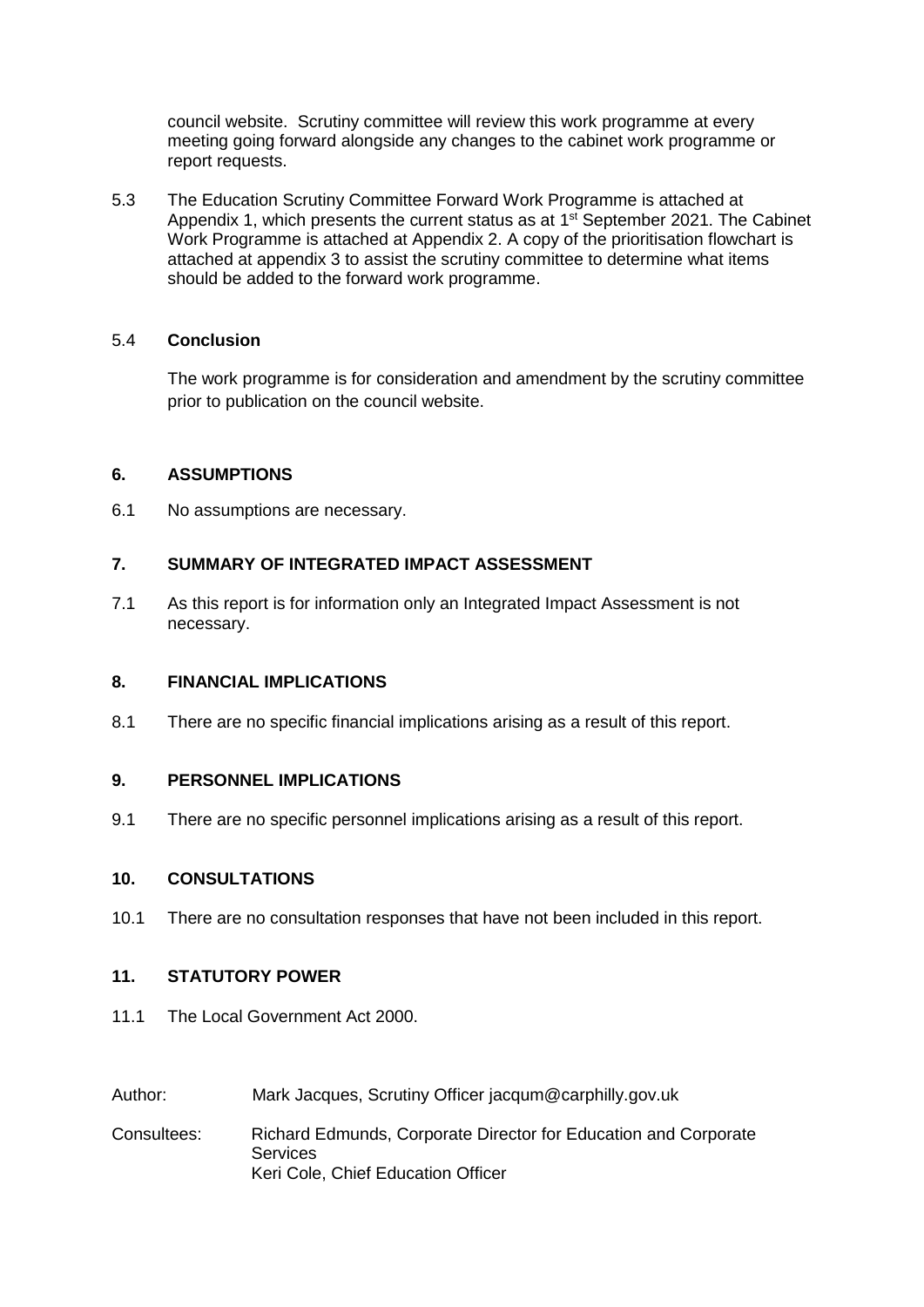council website. Scrutiny committee will review this work programme at every meeting going forward alongside any changes to the cabinet work programme or report requests.

5.3 The Education Scrutiny Committee Forward Work Programme is attached at Appendix 1, which presents the current status as at  $1<sup>st</sup>$  September 2021. The Cabinet Work Programme is attached at Appendix 2. A copy of the prioritisation flowchart is attached at appendix 3 to assist the scrutiny committee to determine what items should be added to the forward work programme.

## 5.4 **Conclusion**

The work programme is for consideration and amendment by the scrutiny committee prior to publication on the council website.

## **6. ASSUMPTIONS**

6.1 No assumptions are necessary.

## **7. SUMMARY OF INTEGRATED IMPACT ASSESSMENT**

7.1 As this report is for information only an Integrated Impact Assessment is not necessary.

#### **8. FINANCIAL IMPLICATIONS**

8.1 There are no specific financial implications arising as a result of this report.

#### **9. PERSONNEL IMPLICATIONS**

9.1 There are no specific personnel implications arising as a result of this report.

#### **10. CONSULTATIONS**

10.1 There are no consultation responses that have not been included in this report.

#### **11. STATUTORY POWER**

- 11.1 The Local Government Act 2000.
- Author: Mark Jacques, Scrutiny Officer jacqum@carphilly.gov.uk
- Consultees: Richard Edmunds, Corporate Director for Education and Corporate **Services** Keri Cole, Chief Education Officer